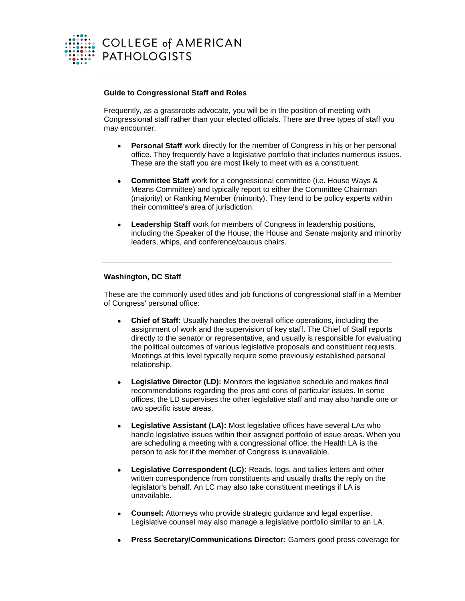

## **Guide to Congressional Staff and Roles**

Frequently, as a grassroots advocate, you will be in the position of meeting with Congressional staff rather than your elected officials. There are three types of staff you may encounter:

- **Personal Staff** work directly for the member of Congress in his or her personal office. They frequently have a legislative portfolio that includes numerous issues. These are the staff you are most likely to meet with as a constituent.
- **Committee Staff** work for a congressional committee (i.e. House Ways & Means Committee) and typically report to either the Committee Chairman (majority) or Ranking Member (minority). They tend to be policy experts within their committee's area of jurisdiction.
- **Leadership Staff** work for members of Congress in leadership positions, including the Speaker of the House, the House and Senate majority and minority leaders, whips, and conference/caucus chairs.

## **Washington, DC Staff**

These are the commonly used titles and job functions of congressional staff in a Member of Congress' personal office:

- **Chief of Staff:** Usually handles the overall office operations, including the assignment of work and the supervision of key staff. The Chief of Staff reports directly to the senator or representative, and usually is responsible for evaluating the political outcomes of various legislative proposals and constituent requests. Meetings at this level typically require some previously established personal relationship.
- **Legislative Director (LD):** Monitors the legislative schedule and makes final recommendations regarding the pros and cons of particular issues. In some offices, the LD supervises the other legislative staff and may also handle one or two specific issue areas.
- Legislative Assistant (LA): Most legislative offices have several LAs who handle legislative issues within their assigned portfolio of issue areas. When you are scheduling a meeting with a congressional office, the Health LA is the person to ask for if the member of Congress is unavailable.
- **Legislative Correspondent (LC):** Reads, logs, and tallies letters and other written correspondence from constituents and usually drafts the reply on the legislator's behalf. An LC may also take constituent meetings if LA is unavailable.
- **Counsel:** Attorneys who provide strategic guidance and legal expertise. Legislative counsel may also manage a legislative portfolio similar to an LA.
- **Press Secretary/Communications Director:** Garners good press coverage for